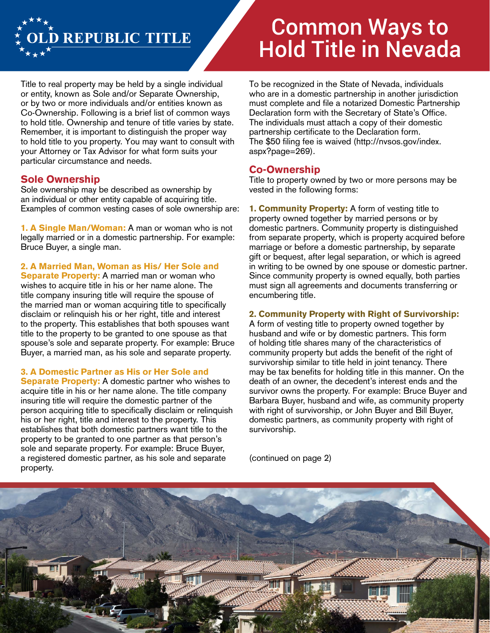

# Common Ways to Hold Title in Nevada

Title to real property may be held by a single individual or entity, known as Sole and/or Separate Ownership, or by two or more individuals and/or entities known as Co-Ownership. Following is a brief list of common ways to hold title. Ownership and tenure of title varies by state. Remember, it is important to distinguish the proper way to hold title to you property. You may want to consult with your Attorney or Tax Advisor for what form suits your particular circumstance and needs.

# **Sole Ownership**

Sole ownership may be described as ownership by an individual or other entity capable of acquiring title. Examples of common vesting cases of sole ownership are:

**1. A Single Man/Woman:** A man or woman who is not legally married or in a domestic partnership. For example: Bruce Buyer, a single man.

## **2. A Married Man, Woman as His/ Her Sole and**

**Separate Property:** A married man or woman who wishes to acquire title in his or her name alone. The title company insuring title will require the spouse of the married man or woman acquiring title to specifically disclaim or relinquish his or her right, title and interest to the property. This establishes that both spouses want title to the property to be granted to one spouse as that spouse's sole and separate property. For example: Bruce Buyer, a married man, as his sole and separate property.

#### **3. A Domestic Partner as His or Her Sole and**

**Separate Property:** A domestic partner who wishes to acquire title in his or her name alone. The title company insuring title will require the domestic partner of the person acquiring title to specifically disclaim or relinquish his or her right, title and interest to the property. This establishes that both domestic partners want title to the property to be granted to one partner as that person's sole and separate property. For example: Bruce Buyer, a registered domestic partner, as his sole and separate property.

To be recognized in the State of Nevada, individuals who are in a domestic partnership in another jurisdiction must complete and file a notarized Domestic Partnership Declaration form with the Secretary of State's Office. The individuals must attach a copy of their domestic partnership certificate to the Declaration form. The \$50 filing fee is waived (http://nvsos.gov/index. aspx?page=269).

## **Co-Ownership**

Title to property owned by two or more persons may be vested in the following forms:

**1. Community Property:** A form of vesting title to property owned together by married persons or by domestic partners. Community property is distinguished from separate property, which is property acquired before marriage or before a domestic partnership, by separate gift or bequest, after legal separation, or which is agreed in writing to be owned by one spouse or domestic partner. Since community property is owned equally, both parties must sign all agreements and documents transferring or encumbering title.

## **2. Community Property with Right of Survivorship:**

A form of vesting title to property owned together by husband and wife or by domestic partners. This form of holding title shares many of the characteristics of community property but adds the benefit of the right of survivorship similar to title held in joint tenancy. There may be tax benefits for holding title in this manner. On the death of an owner, the decedent's interest ends and the survivor owns the property. For example: Bruce Buyer and Barbara Buyer, husband and wife, as community property with right of survivorship, or John Buyer and Bill Buyer, domestic partners, as community property with right of survivorship.

(continued on page 2)